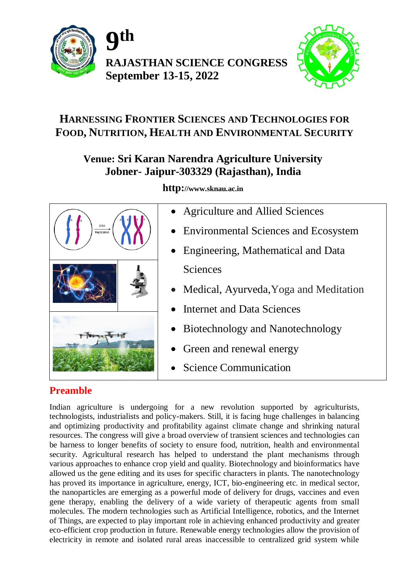

**9 th RAJASTHAN SCIENCE CONGRESS September 13-15, 2022**



# **HARNESSING FRONTIER SCIENCES AND TECHNOLOGIES FOR FOOD, NUTRITION, HEALTH AND ENVIRONMENTAL SECURITY**

# **Venue: Sri Karan Narendra Agriculture University Jobner- Jaipur-303329 (Rajasthan), India**



**http://www.sknau.ac.in**

- Agriculture and Allied Sciences
- Environmental Sciences and Ecosystem
- Engineering, Mathematical and Data Sciences
- Medical, Ayurveda,Yoga and Meditation
- Internet and Data Sciences
- Biotechnology and Nanotechnology
- Green and renewal energy
- Science Communication

# **Preamble**

Indian agriculture is undergoing for a new revolution supported by agriculturists, technologists, industrialists and policy-makers. Still, it is facing huge challenges in balancing and optimizing productivity and profitability against climate change and shrinking natural resources. The congress will give a broad overview of transient sciences and technologies can be harness to longer benefits of society to ensure food, nutrition, health and environmental security. Agricultural research has helped to understand the plant mechanisms through various approaches to enhance crop yield and quality. Biotechnology and bioinformatics have allowed us the gene editing and its uses for specific characters in plants. The nanotechnology has proved its importance in agriculture, energy, ICT, bio-engineering etc. in medical sector, the nanoparticles are emerging as a powerful mode of delivery for drugs, vaccines and even gene therapy, enabling the delivery of a wide variety of therapeutic agents from small molecules. The modern technologies such as Artificial Intelligence, robotics, and the Internet of Things, are expected to play important role in achieving enhanced productivity and greater eco-efficient crop production in future. Renewable energy technologies allow the provision of electricity in remote and isolated rural areas inaccessible to centralized grid system while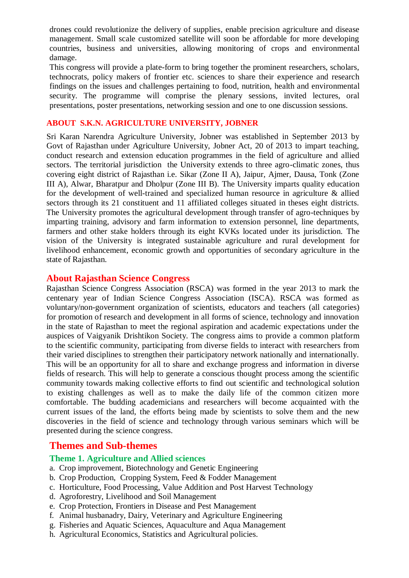drones could revolutionize the delivery of supplies, enable precision agriculture and disease management. Small scale customized satellite will soon be affordable for more developing countries, business and universities, allowing monitoring of crops and environmental damage.

This congress will provide a plate-form to bring together the prominent researchers, scholars, technocrats, policy makers of frontier etc. sciences to share their experience and research findings on the issues and challenges pertaining to food, nutrition, health and environmental security. The programme will comprise the plenary sessions, invited lectures, oral presentations, poster presentations, networking session and one to one discussion sessions.

#### **ABOUT S.K.N. AGRICULTURE UNIVERSITY, JOBNER**

Sri Karan Narendra Agriculture University, Jobner was established in September 2013 by Govt of Rajasthan under Agriculture University, Jobner Act, 20 of 2013 to impart teaching, conduct research and extension education programmes in the field of agriculture and allied sectors. The territorial jurisdiction the University extends to three agro-climatic zones, thus covering eight district of Rajasthan i.e. Sikar (Zone II A), Jaipur, Ajmer, Dausa, Tonk (Zone III A), Alwar, Bharatpur and Dholpur (Zone III B). The University imparts quality education for the development of well-trained and specialized human resource in agriculture & allied sectors through its 21 constituent and 11 affiliated colleges situated in theses eight districts. The University promotes the agricultural development through transfer of agro-techniques by imparting training, advisory and farm information to extension personnel, line departments, farmers and other stake holders through its eight KVKs located under its jurisdiction. The vision of the University is integrated sustainable agriculture and rural development for livelihood enhancement, economic growth and opportunities of secondary agriculture in the state of Rajasthan.

#### **About Rajasthan Science Congress**

Rajasthan Science Congress Association (RSCA) was formed in the year 2013 to mark the centenary year of Indian Science Congress Association (ISCA). RSCA was formed as voluntary/non-government organization of scientists, educators and teachers (all categories) for promotion of research and development in all forms of science, technology and innovation in the state of Rajasthan to meet the regional aspiration and academic expectations under the auspices of Vaigyanik Drishtikon Society. The congress aims to provide a common platform to the scientific community, participating from diverse fields to interact with researchers from their varied disciplines to strengthen their participatory network nationally and internationally. This will be an opportunity for all to share and exchange progress and information in diverse fields of research. This will help to generate a conscious thought process among the scientific community towards making collective efforts to find out scientific and technological solution to existing challenges as well as to make the daily life of the common citizen more comfortable. The budding academicians and researchers will become acquainted with the current issues of the land, the efforts being made by scientists to solve them and the new discoveries in the field of science and technology through various seminars which will be presented during the science congress.

#### **Themes and Sub-themes**

### **Theme 1. Agriculture and Allied sciences**

- a. Crop improvement, Biotechnology and Genetic Engineering
- b. Crop Production, Cropping System, Feed & Fodder Management
- c. Horticulture, Food Processing, Value Addition and Post Harvest Technology
- d. Agroforestry, Livelihood and Soil Management
- e. Crop Protection, Frontiers in Disease and Pest Management
- f. Animal husbanadry, Dairy, Veterinary and Agriculture Engineering
- g. Fisheries and Aquatic Sciences, Aquaculture and Aqua Management
- h. Agricultural Economics, Statistics and Agricultural policies.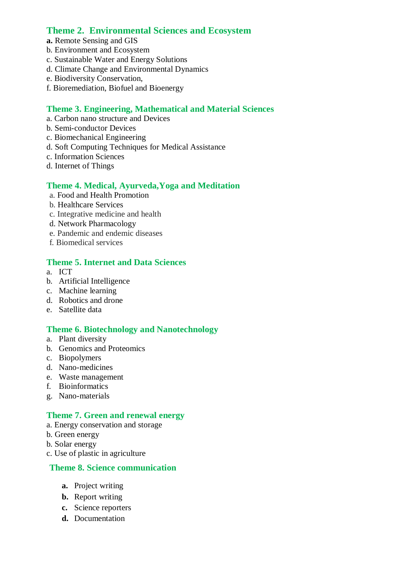# **Theme 2. Environmental Sciences and Ecosystem**

- **a.** Remote Sensing and GIS
- b. Environment and Ecosystem
- c. Sustainable Water and Energy Solutions
- d. Climate Change and Environmental Dynamics
- e. Biodiversity Conservation,
- f. Bioremediation, Biofuel and Bioenergy

### **Theme 3. Engineering, Mathematical and Material Sciences**

- a. Carbon nano structure and Devices
- b. Semi-conductor Devices
- c. Biomechanical Engineering
- d. Soft Computing Techniques for Medical Assistance
- c. Information Sciences
- d. Internet of Things

### **Theme 4. Medical, Ayurveda,Yoga and Meditation**

- a. Food and Health Promotion
- b. Healthcare Services
- c. Integrative medicine and health
- d. Network Pharmacology
- e. Pandemic and endemic diseases
- f. Biomedical services

#### **Theme 5. Internet and Data Sciences**

- a. ICT
- b. Artificial Intelligence
- c. Machine learning
- d. Robotics and drone
- e. Satellite data

# **Theme 6. Biotechnology and Nanotechnology**

- a. Plant diversity
- b. Genomics and Proteomics
- c. Biopolymers
- d. Nano-medicines
- e. Waste management
- f. Bioinformatics
- g. Nano-materials

# **Theme 7. Green and renewal energy**

- a. Energy conservation and storage
- b. Green energy
- b. Solar energy
- c. Use of plastic in agriculture

#### **Theme 8. Science communication**

- **a.** Project writing
- **b.** Report writing
- **c.** Science reporters
- **d.** Documentation